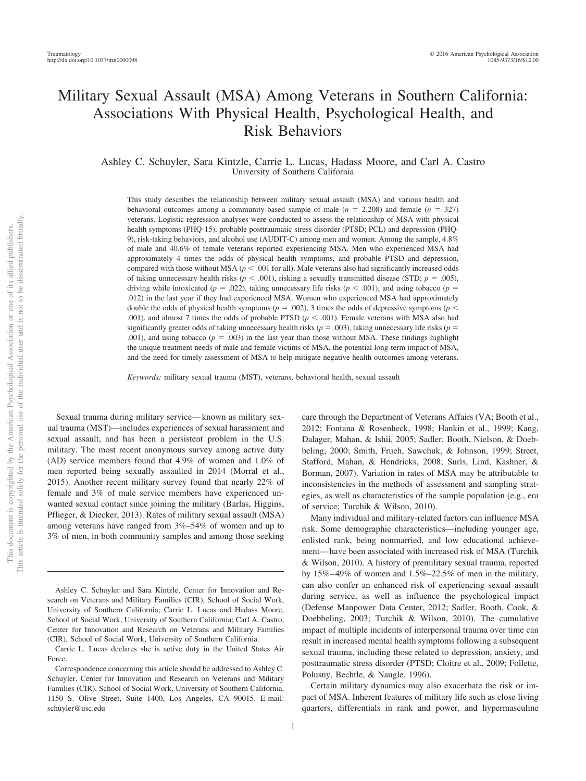# Military Sexual Assault (MSA) Among Veterans in Southern California: Associations With Physical Health, Psychological Health, and Risk Behaviors

Ashley C. Schuyler, Sara Kintzle, Carrie L. Lucas, Hadass Moore, and Carl A. Castro University of Southern California

This study describes the relationship between military sexual assault (MSA) and various health and behavioral outcomes among a community-based sample of male  $(n = 2,208)$  and female  $(n = 327)$ veterans. Logistic regression analyses were conducted to assess the relationship of MSA with physical health symptoms (PHQ-15), probable posttraumatic stress disorder (PTSD; PCL) and depression (PHQ-9), risk-taking behaviors, and alcohol use (AUDIT-C) among men and women. Among the sample, 4.8% of male and 40.6% of female veterans reported experiencing MSA. Men who experienced MSA had approximately 4 times the odds of physical health symptoms, and probable PTSD and depression, compared with those without MSA ( $p < .001$  for all). Male veterans also had significantly increased odds of taking unnecessary health risks ( $p < .001$ ), risking a sexually transmitted disease (STD;  $p = .005$ ), driving while intoxicated ( $p = .022$ ), taking unnecessary life risks ( $p < .001$ ), and using tobacco ( $p =$ .012) in the last year if they had experienced MSA. Women who experienced MSA had approximately double the odds of physical health symptoms ( $p = .002$ ), 3 times the odds of depressive symptoms ( $p <$ .001), and almost 7 times the odds of probable PTSD ( $p < .001$ ). Female veterans with MSA also had significantly greater odds of taking unnecessary health risks  $(p = .003)$ , taking unnecessary life risks  $(p = .003)$ .001), and using tobacco ( $p = .003$ ) in the last year than those without MSA. These findings highlight the unique treatment needs of male and female victims of MSA, the potential long-term impact of MSA, and the need for timely assessment of MSA to help mitigate negative health outcomes among veterans.

*Keywords:* military sexual trauma (MST), veterans, behavioral health, sexual assault

Sexual trauma during military service— known as military sexual trauma (MST)—includes experiences of sexual harassment and sexual assault, and has been a persistent problem in the U.S. military. The most recent anonymous survey among active duty (AD) service members found that 4.9% of women and 1.0% of men reported being sexually assaulted in 2014 (Morral et al., 2015). Another recent military survey found that nearly 22% of female and 3% of male service members have experienced unwanted sexual contact since joining the military (Barlas, Higgins, Pflieger, & Diecker, 2013). Rates of military sexual assault (MSA) among veterans have ranged from 3%–54% of women and up to 3% of men, in both community samples and among those seeking care through the Department of Veterans Affairs (VA; Booth et al., 2012; Fontana & Rosenheck, 1998; Hankin et al., 1999; Kang, Dalager, Mahan, & Ishii, 2005; Sadler, Booth, Nielson, & Doebbeling, 2000; Smith, Frueh, Sawchuk, & Johnson, 1999; Street, Stafford, Mahan, & Hendricks, 2008; Surìs, Lind, Kashner, & Borman, 2007). Variation in rates of MSA may be attributable to inconsistencies in the methods of assessment and sampling strategies, as well as characteristics of the sample population (e.g., era of service; Turchik & Wilson, 2010).

Many individual and military-related factors can influence MSA risk. Some demographic characteristics—including younger age, enlisted rank, being nonmarried, and low educational achievement— have been associated with increased risk of MSA (Turchik & Wilson, 2010). A history of premilitary sexual trauma, reported by 15%– 49% of women and 1.5%–22.5% of men in the military, can also confer an enhanced risk of experiencing sexual assault during service, as well as influence the psychological impact (Defense Manpower Data Center, 2012; Sadler, Booth, Cook, & Doebbeling, 2003; Turchik & Wilson, 2010). The cumulative impact of multiple incidents of interpersonal trauma over time can result in increased mental health symptoms following a subsequent sexual trauma, including those related to depression, anxiety, and posttraumatic stress disorder (PTSD; Cloitre et al., 2009; Follette, Polusny, Bechtle, & Naugle, 1996).

Certain military dynamics may also exacerbate the risk or impact of MSA. Inherent features of military life such as close living quarters, differentials in rank and power, and hypermasculine

Ashley C. Schuyler and Sara Kintzle, Center for Innovation and Research on Veterans and Military Families (CIR), School of Social Work, University of Southern California; Carrie L. Lucas and Hadass Moore, School of Social Work, University of Southern California; Carl A. Castro, Center for Innovation and Research on Veterans and Military Families (CIR), School of Social Work, University of Southern California.

Carrie L. Lucas declares she is active duty in the United States Air Force.

Correspondence concerning this article should be addressed to Ashley C. Schuyler, Center for Innovation and Research on Veterans and Military Families (CIR), School of Social Work, University of Southern California, 1150 S. Olive Street, Suite 1400, Los Angeles, CA 90015. E-mail: schuyler@usc.edu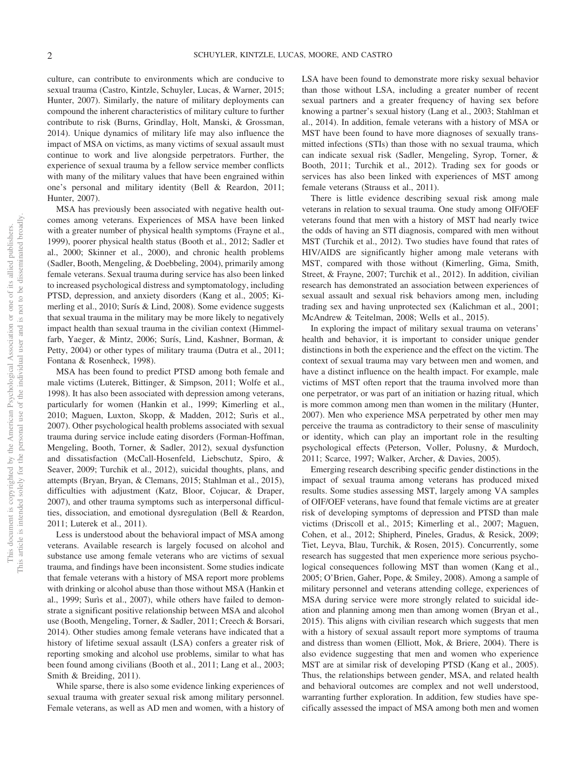culture, can contribute to environments which are conducive to sexual trauma (Castro, Kintzle, Schuyler, Lucas, & Warner, 2015; Hunter, 2007). Similarly, the nature of military deployments can compound the inherent characteristics of military culture to further contribute to risk (Burns, Grindlay, Holt, Manski, & Grossman, 2014). Unique dynamics of military life may also influence the impact of MSA on victims, as many victims of sexual assault must continue to work and live alongside perpetrators. Further, the experience of sexual trauma by a fellow service member conflicts with many of the military values that have been engrained within one's personal and military identity (Bell & Reardon, 2011; Hunter, 2007).

MSA has previously been associated with negative health outcomes among veterans. Experiences of MSA have been linked with a greater number of physical health symptoms (Frayne et al., 1999), poorer physical health status (Booth et al., 2012; Sadler et al., 2000; Skinner et al., 2000), and chronic health problems (Sadler, Booth, Mengeling, & Doebbeling, 2004), primarily among female veterans. Sexual trauma during service has also been linked to increased psychological distress and symptomatology, including PTSD, depression, and anxiety disorders (Kang et al., 2005; Kimerling et al., 2010; Surís & Lind, 2008). Some evidence suggests that sexual trauma in the military may be more likely to negatively impact health than sexual trauma in the civilian context (Himmelfarb, Yaeger, & Mintz, 2006; Surís, Lind, Kashner, Borman, & Petty, 2004) or other types of military trauma (Dutra et al., 2011; Fontana & Rosenheck, 1998).

MSA has been found to predict PTSD among both female and male victims (Luterek, Bittinger, & Simpson, 2011; Wolfe et al., 1998). It has also been associated with depression among veterans, particularly for women (Hankin et al., 1999; Kimerling et al., 2010; Maguen, Luxton, Skopp, & Madden, 2012; Surìs et al., 2007). Other psychological health problems associated with sexual trauma during service include eating disorders (Forman-Hoffman, Mengeling, Booth, Torner, & Sadler, 2012), sexual dysfunction and dissatisfaction (McCall-Hosenfeld, Liebschutz, Spiro, & Seaver, 2009; Turchik et al., 2012), suicidal thoughts, plans, and attempts (Bryan, Bryan, & Clemans, 2015; Stahlman et al., 2015), difficulties with adjustment (Katz, Bloor, Cojucar, & Draper, 2007), and other trauma symptoms such as interpersonal difficulties, dissociation, and emotional dysregulation (Bell & Reardon, 2011; Luterek et al., 2011).

Less is understood about the behavioral impact of MSA among veterans. Available research is largely focused on alcohol and substance use among female veterans who are victims of sexual trauma, and findings have been inconsistent. Some studies indicate that female veterans with a history of MSA report more problems with drinking or alcohol abuse than those without MSA (Hankin et al., 1999; Surìs et al., 2007), while others have failed to demonstrate a significant positive relationship between MSA and alcohol use (Booth, Mengeling, Torner, & Sadler, 2011; Creech & Borsari, 2014). Other studies among female veterans have indicated that a history of lifetime sexual assault (LSA) confers a greater risk of reporting smoking and alcohol use problems, similar to what has been found among civilians (Booth et al., 2011; Lang et al., 2003; Smith & Breiding, 2011).

While sparse, there is also some evidence linking experiences of sexual trauma with greater sexual risk among military personnel. Female veterans, as well as AD men and women, with a history of LSA have been found to demonstrate more risky sexual behavior than those without LSA, including a greater number of recent sexual partners and a greater frequency of having sex before knowing a partner's sexual history (Lang et al., 2003; Stahlman et al., 2014). In addition, female veterans with a history of MSA or MST have been found to have more diagnoses of sexually transmitted infections (STIs) than those with no sexual trauma, which can indicate sexual risk (Sadler, Mengeling, Syrop, Torner, & Booth, 2011; Turchik et al., 2012). Trading sex for goods or services has also been linked with experiences of MST among female veterans (Strauss et al., 2011).

There is little evidence describing sexual risk among male veterans in relation to sexual trauma. One study among OIF/OEF veterans found that men with a history of MST had nearly twice the odds of having an STI diagnosis, compared with men without MST (Turchik et al., 2012). Two studies have found that rates of HIV/AIDS are significantly higher among male veterans with MST, compared with those without (Kimerling, Gima, Smith, Street, & Frayne, 2007; Turchik et al., 2012). In addition, civilian research has demonstrated an association between experiences of sexual assault and sexual risk behaviors among men, including trading sex and having unprotected sex (Kalichman et al., 2001; McAndrew & Teitelman, 2008; Wells et al., 2015).

In exploring the impact of military sexual trauma on veterans' health and behavior, it is important to consider unique gender distinctions in both the experience and the effect on the victim. The context of sexual trauma may vary between men and women, and have a distinct influence on the health impact. For example, male victims of MST often report that the trauma involved more than one perpetrator, or was part of an initiation or hazing ritual, which is more common among men than women in the military (Hunter, 2007). Men who experience MSA perpetrated by other men may perceive the trauma as contradictory to their sense of masculinity or identity, which can play an important role in the resulting psychological effects (Peterson, Voller, Polusny, & Murdoch, 2011; Scarce, 1997; Walker, Archer, & Davies, 2005).

Emerging research describing specific gender distinctions in the impact of sexual trauma among veterans has produced mixed results. Some studies assessing MST, largely among VA samples of OIF/OEF veterans, have found that female victims are at greater risk of developing symptoms of depression and PTSD than male victims (Driscoll et al., 2015; Kimerling et al., 2007; Maguen, Cohen, et al., 2012; Shipherd, Pineles, Gradus, & Resick, 2009; Tiet, Leyva, Blau, Turchik, & Rosen, 2015). Concurrently, some research has suggested that men experience more serious psychological consequences following MST than women (Kang et al., 2005; O'Brien, Gaher, Pope, & Smiley, 2008). Among a sample of military personnel and veterans attending college, experiences of MSA during service were more strongly related to suicidal ideation and planning among men than among women (Bryan et al., 2015). This aligns with civilian research which suggests that men with a history of sexual assault report more symptoms of trauma and distress than women (Elliott, Mok, & Briere, 2004). There is also evidence suggesting that men and women who experience MST are at similar risk of developing PTSD (Kang et al., 2005). Thus, the relationships between gender, MSA, and related health and behavioral outcomes are complex and not well understood, warranting further exploration. In addition, few studies have specifically assessed the impact of MSA among both men and women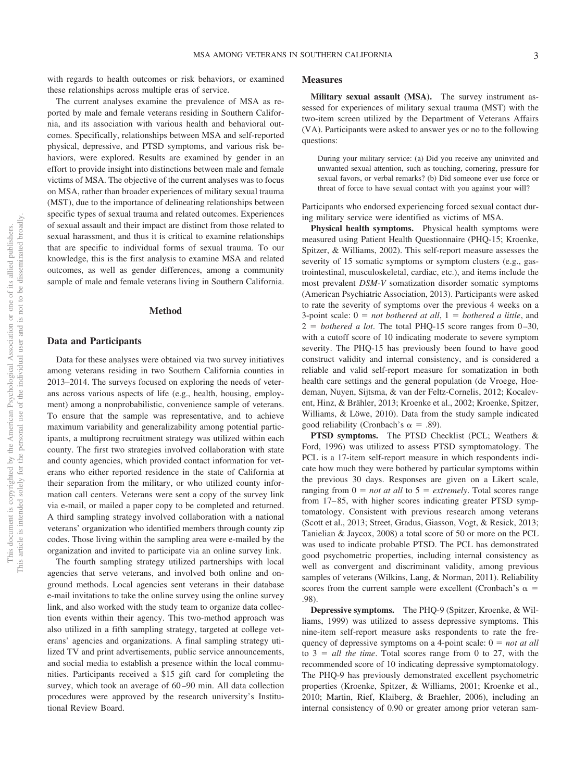with regards to health outcomes or risk behaviors, or examined these relationships across multiple eras of service.

The current analyses examine the prevalence of MSA as reported by male and female veterans residing in Southern California, and its association with various health and behavioral outcomes. Specifically, relationships between MSA and self-reported physical, depressive, and PTSD symptoms, and various risk behaviors, were explored. Results are examined by gender in an effort to provide insight into distinctions between male and female victims of MSA. The objective of the current analyses was to focus on MSA, rather than broader experiences of military sexual trauma (MST), due to the importance of delineating relationships between specific types of sexual trauma and related outcomes. Experiences of sexual assault and their impact are distinct from those related to sexual harassment, and thus it is critical to examine relationships that are specific to individual forms of sexual trauma. To our knowledge, this is the first analysis to examine MSA and related outcomes, as well as gender differences, among a community sample of male and female veterans living in Southern California.

## **Method**

## **Data and Participants**

Data for these analyses were obtained via two survey initiatives among veterans residing in two Southern California counties in 2013–2014. The surveys focused on exploring the needs of veterans across various aspects of life (e.g., health, housing, employment) among a nonprobabilistic, convenience sample of veterans. To ensure that the sample was representative, and to achieve maximum variability and generalizability among potential participants, a multiprong recruitment strategy was utilized within each county. The first two strategies involved collaboration with state and county agencies, which provided contact information for veterans who either reported residence in the state of California at their separation from the military, or who utilized county information call centers. Veterans were sent a copy of the survey link via e-mail, or mailed a paper copy to be completed and returned. A third sampling strategy involved collaboration with a national veterans' organization who identified members through county zip codes. Those living within the sampling area were e-mailed by the organization and invited to participate via an online survey link.

The fourth sampling strategy utilized partnerships with local agencies that serve veterans, and involved both online and onground methods. Local agencies sent veterans in their database e-mail invitations to take the online survey using the online survey link, and also worked with the study team to organize data collection events within their agency. This two-method approach was also utilized in a fifth sampling strategy, targeted at college veterans' agencies and organizations. A final sampling strategy utilized TV and print advertisements, public service announcements, and social media to establish a presence within the local communities. Participants received a \$15 gift card for completing the survey, which took an average of 60-90 min. All data collection procedures were approved by the research university's Institutional Review Board.

## **Measures**

**Military sexual assault (MSA).** The survey instrument assessed for experiences of military sexual trauma (MST) with the two-item screen utilized by the Department of Veterans Affairs (VA). Participants were asked to answer yes or no to the following questions:

During your military service: (a) Did you receive any uninvited and unwanted sexual attention, such as touching, cornering, pressure for sexual favors, or verbal remarks? (b) Did someone ever use force or threat of force to have sexual contact with you against your will?

Participants who endorsed experiencing forced sexual contact during military service were identified as victims of MSA.

**Physical health symptoms.** Physical health symptoms were measured using Patient Health Questionnaire (PHQ-15; Kroenke, Spitzer, & Williams, 2002). This self-report measure assesses the severity of 15 somatic symptoms or symptom clusters (e.g., gastrointestinal, musculoskeletal, cardiac, etc.), and items include the most prevalent *DSM-V* somatization disorder somatic symptoms (American Psychiatric Association, 2013). Participants were asked to rate the severity of symptoms over the previous 4 weeks on a 3-point scale:  $0 = not \, bottleneck \, at \, all, \, 1 = \, bottleneck \, a \, little, \, and \,$  $2 =$  *bothered a lot*. The total PHQ-15 score ranges from  $0-30$ , with a cutoff score of 10 indicating moderate to severe symptom severity. The PHQ-15 has previously been found to have good construct validity and internal consistency, and is considered a reliable and valid self-report measure for somatization in both health care settings and the general population (de Vroege, Hoedeman, Nuyen, Sijtsma, & van der Feltz-Cornelis, 2012; Kocalevent, Hinz, & Brähler, 2013; Kroenke et al., 2002; Kroenke, Spitzer, Williams, & Löwe, 2010). Data from the study sample indicated good reliability (Cronbach's  $\alpha = .89$ ).

**PTSD symptoms.** The PTSD Checklist (PCL; Weathers & Ford, 1996) was utilized to assess PTSD symptomatology. The PCL is a 17-item self-report measure in which respondents indicate how much they were bothered by particular symptoms within the previous 30 days. Responses are given on a Likert scale, ranging from  $0 = not$  *at all* to  $5 = extremely$ . Total scores range from 17– 85, with higher scores indicating greater PTSD symptomatology. Consistent with previous research among veterans (Scott et al., 2013; Street, Gradus, Giasson, Vogt, & Resick, 2013; Tanielian & Jaycox, 2008) a total score of 50 or more on the PCL was used to indicate probable PTSD. The PCL has demonstrated good psychometric properties, including internal consistency as well as convergent and discriminant validity, among previous samples of veterans (Wilkins, Lang, & Norman, 2011). Reliability scores from the current sample were excellent (Cronbach's  $\alpha$  = .98).

**Depressive symptoms.** The PHQ-9 (Spitzer, Kroenke, & Williams, 1999) was utilized to assess depressive symptoms. This nine-item self-report measure asks respondents to rate the frequency of depressive symptoms on a 4-point scale:  $0 = not at all$ to  $3 = all$  the time. Total scores range from 0 to 27, with the recommended score of 10 indicating depressive symptomatology. The PHQ-9 has previously demonstrated excellent psychometric properties (Kroenke, Spitzer, & Williams, 2001; Kroenke et al., 2010; Martin, Rief, Klaiberg, & Braehler, 2006), including an internal consistency of 0.90 or greater among prior veteran sam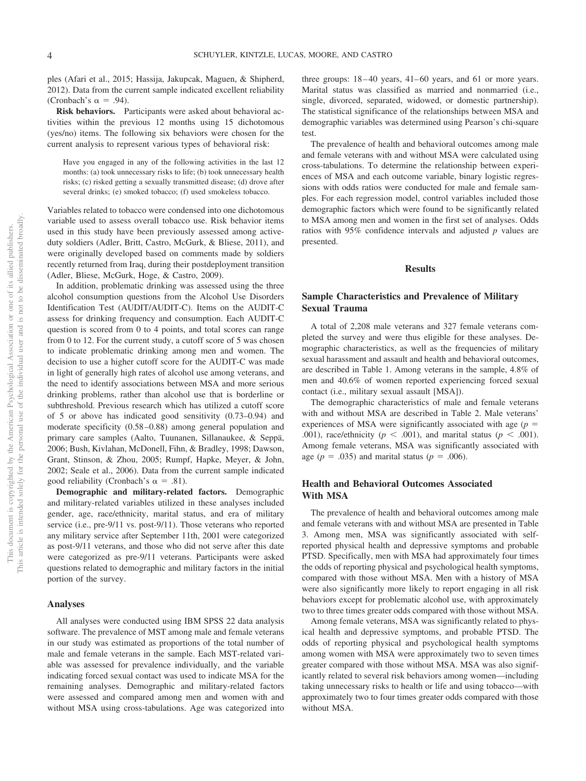ples (Afari et al., 2015; Hassija, Jakupcak, Maguen, & Shipherd, 2012). Data from the current sample indicated excellent reliability (Cronbach's  $\alpha = .94$ ).

**Risk behaviors.** Participants were asked about behavioral activities within the previous 12 months using 15 dichotomous (yes/no) items. The following six behaviors were chosen for the current analysis to represent various types of behavioral risk:

Have you engaged in any of the following activities in the last 12 months: (a) took unnecessary risks to life; (b) took unnecessary health risks; (c) risked getting a sexually transmitted disease; (d) drove after several drinks; (e) smoked tobacco; (f) used smokeless tobacco.

Variables related to tobacco were condensed into one dichotomous variable used to assess overall tobacco use. Risk behavior items used in this study have been previously assessed among activeduty soldiers (Adler, Britt, Castro, McGurk, & Bliese, 2011), and were originally developed based on comments made by soldiers recently returned from Iraq, during their postdeployment transition (Adler, Bliese, McGurk, Hoge, & Castro, 2009).

In addition, problematic drinking was assessed using the three alcohol consumption questions from the Alcohol Use Disorders Identification Test (AUDIT/AUDIT-C). Items on the AUDIT-C assess for drinking frequency and consumption. Each AUDIT-C question is scored from 0 to 4 points, and total scores can range from 0 to 12. For the current study, a cutoff score of 5 was chosen to indicate problematic drinking among men and women. The decision to use a higher cutoff score for the AUDIT-C was made in light of generally high rates of alcohol use among veterans, and the need to identify associations between MSA and more serious drinking problems, rather than alcohol use that is borderline or subthreshold. Previous research which has utilized a cutoff score of 5 or above has indicated good sensitivity (0.73–0.94) and moderate specificity (0.58 –0.88) among general population and primary care samples (Aalto, Tuunanen, Sillanaukee, & Seppä, 2006; Bush, Kivlahan, McDonell, Fihn, & Bradley, 1998; Dawson, Grant, Stinson, & Zhou, 2005; Rumpf, Hapke, Meyer, & John, 2002; Seale et al., 2006). Data from the current sample indicated good reliability (Cronbach's  $\alpha = .81$ ).

**Demographic and military-related factors.** Demographic and military-related variables utilized in these analyses included gender, age, race/ethnicity, marital status, and era of military service (i.e., pre-9/11 vs. post-9/11). Those veterans who reported any military service after September 11th, 2001 were categorized as post-9/11 veterans, and those who did not serve after this date were categorized as pre-9/11 veterans. Participants were asked questions related to demographic and military factors in the initial portion of the survey.

### **Analyses**

All analyses were conducted using IBM SPSS 22 data analysis software. The prevalence of MST among male and female veterans in our study was estimated as proportions of the total number of male and female veterans in the sample. Each MST-related variable was assessed for prevalence individually, and the variable indicating forced sexual contact was used to indicate MSA for the remaining analyses. Demographic and military-related factors were assessed and compared among men and women with and without MSA using cross-tabulations. Age was categorized into three groups:  $18-40$  years,  $41-60$  years, and 61 or more years. Marital status was classified as married and nonmarried (i.e., single, divorced, separated, widowed, or domestic partnership). The statistical significance of the relationships between MSA and demographic variables was determined using Pearson's chi-square test.

The prevalence of health and behavioral outcomes among male and female veterans with and without MSA were calculated using cross-tabulations. To determine the relationship between experiences of MSA and each outcome variable, binary logistic regressions with odds ratios were conducted for male and female samples. For each regression model, control variables included those demographic factors which were found to be significantly related to MSA among men and women in the first set of analyses. Odds ratios with 95% confidence intervals and adjusted *p* values are presented.

## **Results**

# **Sample Characteristics and Prevalence of Military Sexual Trauma**

A total of 2,208 male veterans and 327 female veterans completed the survey and were thus eligible for these analyses. Demographic characteristics, as well as the frequencies of military sexual harassment and assault and health and behavioral outcomes, are described in Table 1. Among veterans in the sample, 4.8% of men and 40.6% of women reported experiencing forced sexual contact (i.e., military sexual assault [MSA]).

The demographic characteristics of male and female veterans with and without MSA are described in Table 2. Male veterans' experiences of MSA were significantly associated with age  $(p =$ .001), race/ethnicity ( $p < .001$ ), and marital status ( $p < .001$ ). Among female veterans, MSA was significantly associated with age ( $p = .035$ ) and marital status ( $p = .006$ ).

# **Health and Behavioral Outcomes Associated With MSA**

The prevalence of health and behavioral outcomes among male and female veterans with and without MSA are presented in Table 3. Among men, MSA was significantly associated with selfreported physical health and depressive symptoms and probable PTSD. Specifically, men with MSA had approximately four times the odds of reporting physical and psychological health symptoms, compared with those without MSA. Men with a history of MSA were also significantly more likely to report engaging in all risk behaviors except for problematic alcohol use, with approximately two to three times greater odds compared with those without MSA.

Among female veterans, MSA was significantly related to physical health and depressive symptoms, and probable PTSD. The odds of reporting physical and psychological health symptoms among women with MSA were approximately two to seven times greater compared with those without MSA. MSA was also significantly related to several risk behaviors among women—including taking unnecessary risks to health or life and using tobacco—with approximately two to four times greater odds compared with those without MSA.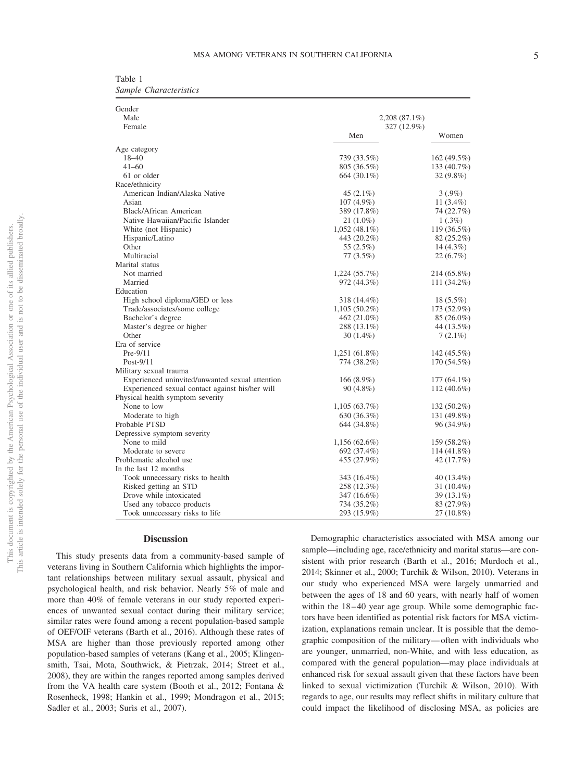Table 1 *Sample Characteristics*

| Gender<br>Male                                  |                              |               |  |
|-------------------------------------------------|------------------------------|---------------|--|
| Female                                          | 2,208 (87.1%)<br>327 (12.9%) |               |  |
|                                                 | Men                          | Women         |  |
| Age category                                    |                              |               |  |
| $18 - 40$                                       | 739 (33.5%)                  | 162 (49.5%)   |  |
| $41 - 60$                                       | 805 (36.5%)                  | 133 (40.7%)   |  |
| 61 or older                                     | 664 (30.1%)                  | $32(9.8\%)$   |  |
| Race/ethnicity                                  |                              |               |  |
| American Indian/Alaska Native                   | $45(2.1\%)$                  | $3(.9\%)$     |  |
| Asian                                           | 107 (4.9%)                   | 11 $(3.4\%)$  |  |
| <b>Black/African American</b>                   | 389 (17.8%)                  | 74 (22.7%)    |  |
| Native Hawaiian/Pacific Islander                | $21(1.0\%)$                  | $1(.3\%)$     |  |
| White (not Hispanic)                            | $1,052(48.1\%)$              | 119 (36.5%)   |  |
| Hispanic/Latino                                 | 443 (20.2%)                  | 82 (25.2%)    |  |
| Other                                           | 55 (2.5%)                    | $14(4.3\%)$   |  |
| Multiracial                                     | $77(3.5\%)$                  | 22(6.7%)      |  |
| Marital status                                  |                              |               |  |
| Not married                                     | $1,224(55.7\%)$              | 214 (65.8%)   |  |
| Married                                         | 972 (44.3%)                  | 111 (34.2%)   |  |
| Education                                       |                              |               |  |
| High school diploma/GED or less                 | 318 (14.4%)                  | $18(5.5\%)$   |  |
| Trade/associates/some college                   | $1,105(50.2\%)$              | 173 (52.9%)   |  |
| Bachelor's degree                               | 462 (21.0%)                  | $85(26.0\%)$  |  |
| Master's degree or higher                       | 288 (13.1%)                  | 44 (13.5%)    |  |
| Other                                           | 30 (1.4%)                    | $7(2.1\%)$    |  |
| Era of service                                  |                              |               |  |
| $Pre-9/11$                                      | 1,251 (61.8%)                | 142 (45.5%)   |  |
| Post-9/11                                       | 774 (38.2%)                  | 170 (54.5%)   |  |
| Military sexual trauma                          |                              |               |  |
| Experienced uninvited/unwanted sexual attention | 166 $(8.9\%)$                | 177 (64.1%)   |  |
| Experienced sexual contact against his/her will | $90(4.8\%)$                  | 112 (40.6%)   |  |
| Physical health symptom severity                |                              |               |  |
| None to low                                     | 1,105(63.7%)                 | 132 (50.2%)   |  |
| Moderate to high                                | 630 (36.3%)                  | 131 (49.8%)   |  |
| Probable PTSD                                   | 644 (34.8%)                  | 96 (34.9%)    |  |
| Depressive symptom severity                     |                              |               |  |
| None to mild                                    | $1,156(62.6\%)$              | 159 (58.2%)   |  |
| Moderate to severe                              | 692 (37.4%)                  | 114 (41.8%)   |  |
| Problematic alcohol use                         | 455 (27.9%)                  | 42 (17.7%)    |  |
| In the last 12 months                           |                              |               |  |
| Took unnecessary risks to health                | 343 (16.4%)                  | 40 (13.4%)    |  |
| Risked getting an STD                           | 258 (12.3%)                  | 31 $(10.4\%)$ |  |
| Drove while intoxicated                         | 347 (16.6%)                  | 39 (13.1%)    |  |
| Used any tobacco products                       | 734 (35.2%)                  | 83 (27.9%)    |  |
| Took unnecessary risks to life                  | 293 (15.9%)                  | 27 (10.8%)    |  |

#### **Discussion**

This study presents data from a community-based sample of veterans living in Southern California which highlights the important relationships between military sexual assault, physical and psychological health, and risk behavior. Nearly 5% of male and more than 40% of female veterans in our study reported experiences of unwanted sexual contact during their military service; similar rates were found among a recent population-based sample of OEF/OIF veterans (Barth et al., 2016). Although these rates of MSA are higher than those previously reported among other population-based samples of veterans (Kang et al., 2005; Klingensmith, Tsai, Mota, Southwick, & Pietrzak, 2014; Street et al., 2008), they are within the ranges reported among samples derived from the VA health care system (Booth et al., 2012; Fontana & Rosenheck, 1998; Hankin et al., 1999; Mondragon et al., 2015; Sadler et al., 2003; Surìs et al., 2007).

Demographic characteristics associated with MSA among our sample—including age, race/ethnicity and marital status—are consistent with prior research (Barth et al., 2016; Murdoch et al., 2014; Skinner et al., 2000; Turchik & Wilson, 2010). Veterans in our study who experienced MSA were largely unmarried and between the ages of 18 and 60 years, with nearly half of women within the 18-40 year age group. While some demographic factors have been identified as potential risk factors for MSA victimization, explanations remain unclear. It is possible that the demographic composition of the military— often with individuals who are younger, unmarried, non-White, and with less education, as compared with the general population—may place individuals at enhanced risk for sexual assault given that these factors have been linked to sexual victimization (Turchik & Wilson, 2010). With regards to age, our results may reflect shifts in military culture that could impact the likelihood of disclosing MSA, as policies are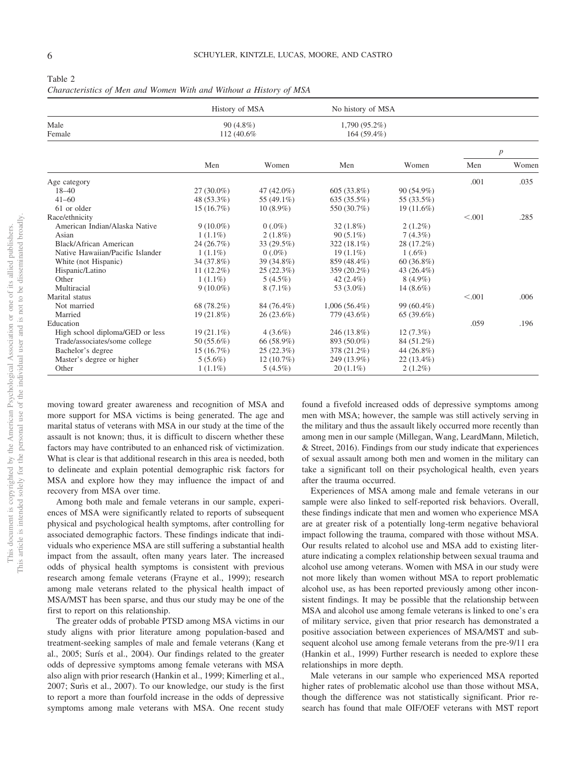| Table 2                                                            |
|--------------------------------------------------------------------|
| Characteristics of Men and Women With and Without a History of MSA |
|                                                                    |

|                                  | History of MSA             |             | No history of MSA              |              |         |                  |
|----------------------------------|----------------------------|-------------|--------------------------------|--------------|---------|------------------|
| Male<br>Female                   | $90(4.8\%)$<br>112 (40.6%) |             | 1,790 (95.2%)<br>$164(59.4\%)$ |              |         |                  |
|                                  |                            |             |                                |              |         | $\boldsymbol{p}$ |
|                                  | Men                        | Women       | Men                            | Women        | Men     | Women            |
| Age category                     |                            |             |                                |              | .001    | .035             |
| $18 - 40$                        | $27(30.0\%)$               | 47 (42.0%)  | $605(33.8\%)$                  | 90 (54.9%)   |         |                  |
| $41 - 60$                        | 48 (53.3%)                 | 55 (49.1%)  | 635(35.5%)                     | 55 (33.5%)   |         |                  |
| 61 or older                      | 15(16.7%)                  | $10(8.9\%)$ | 550 (30.7%)                    | $19(11.6\%)$ |         |                  |
| Race/ethnicity                   |                            |             |                                |              | < 0.001 | .285             |
| American Indian/Alaska Native    | $9(10.0\%)$                | $0(.0\%)$   | $32(1.8\%)$                    | $2(1.2\%)$   |         |                  |
| Asian                            | $1(1.1\%)$                 | $2(1.8\%)$  | $90(5.1\%)$                    | $7(4.3\%)$   |         |                  |
| Black/African American           | 24 (26.7%)                 | 33 (29.5%)  | 322 (18.1%)                    | 28 (17.2%)   |         |                  |
| Native Hawaiian/Pacific Islander | $1(1.1\%)$                 | $0(.0\%)$   | $19(1.1\%)$                    | $1(.6\%)$    |         |                  |
| White (not Hispanic)             | 34 (37.8%)                 | 39 (34.8%)  | 859 (48.4%)                    | $60(36.8\%)$ |         |                  |
| Hispanic/Latino                  | $11(12.2\%)$               | 25(22.3%)   | 359 (20.2%)                    | 43 (26.4%)   |         |                  |
| Other                            | $1(1.1\%)$                 | $5(4.5\%)$  | 42 $(2.4\%)$                   | $8(4.9\%)$   |         |                  |
| Multiracial                      | $9(10.0\%)$                | $8(7.1\%)$  | 53 (3.0%)                      | 14 (8.6%)    |         |                  |
| Marital status                   |                            |             |                                |              | < 0.001 | .006             |
| Not married                      | 68 (78.2%)                 | 84 (76.4%)  | $1,006(56.4\%)$                | 99 (60.4%)   |         |                  |
| Married                          | 19 (21.8%)                 | 26(23.6%)   | 779 (43.6%)                    | 65(39.6%)    |         |                  |
| Education                        |                            |             |                                |              | .059    | .196             |
| High school diploma/GED or less  | $19(21.1\%)$               | $4(3.6\%)$  | 246 (13.8%)                    | $12(7.3\%)$  |         |                  |
| Trade/associates/some college    | $50(55.6\%)$               | 66 (58.9%)  | 893 (50.0%)                    | 84 (51.2%)   |         |                  |
| Bachelor's degree                | 15(16.7%)                  | 25(22.3%)   | 378 (21.2%)                    | 44 (26.8%)   |         |                  |
| Master's degree or higher        | $5(5.6\%)$                 | 12(10.7%)   | 249 (13.9%)                    | $22(13.4\%)$ |         |                  |
| Other                            | $1(1.1\%)$                 | $5(4.5\%)$  | $20(1.1\%)$                    | $2(1.2\%)$   |         |                  |

moving toward greater awareness and recognition of MSA and more support for MSA victims is being generated. The age and marital status of veterans with MSA in our study at the time of the assault is not known; thus, it is difficult to discern whether these factors may have contributed to an enhanced risk of victimization. What is clear is that additional research in this area is needed, both to delineate and explain potential demographic risk factors for MSA and explore how they may influence the impact of and recovery from MSA over time.

Among both male and female veterans in our sample, experiences of MSA were significantly related to reports of subsequent physical and psychological health symptoms, after controlling for associated demographic factors. These findings indicate that individuals who experience MSA are still suffering a substantial health impact from the assault, often many years later. The increased odds of physical health symptoms is consistent with previous research among female veterans (Frayne et al., 1999); research among male veterans related to the physical health impact of MSA/MST has been sparse, and thus our study may be one of the first to report on this relationship.

The greater odds of probable PTSD among MSA victims in our study aligns with prior literature among population-based and treatment-seeking samples of male and female veterans (Kang et al., 2005; Surís et al., 2004). Our findings related to the greater odds of depressive symptoms among female veterans with MSA also align with prior research (Hankin et al., 1999; Kimerling et al., 2007; Surìs et al., 2007). To our knowledge, our study is the first to report a more than fourfold increase in the odds of depressive symptoms among male veterans with MSA. One recent study

found a fivefold increased odds of depressive symptoms among men with MSA; however, the sample was still actively serving in the military and thus the assault likely occurred more recently than among men in our sample (Millegan, Wang, LeardMann, Miletich, & Street, 2016). Findings from our study indicate that experiences of sexual assault among both men and women in the military can take a significant toll on their psychological health, even years after the trauma occurred.

Experiences of MSA among male and female veterans in our sample were also linked to self-reported risk behaviors. Overall, these findings indicate that men and women who experience MSA are at greater risk of a potentially long-term negative behavioral impact following the trauma, compared with those without MSA. Our results related to alcohol use and MSA add to existing literature indicating a complex relationship between sexual trauma and alcohol use among veterans. Women with MSA in our study were not more likely than women without MSA to report problematic alcohol use, as has been reported previously among other inconsistent findings. It may be possible that the relationship between MSA and alcohol use among female veterans is linked to one's era of military service, given that prior research has demonstrated a positive association between experiences of MSA/MST and subsequent alcohol use among female veterans from the pre-9/11 era (Hankin et al., 1999) Further research is needed to explore these relationships in more depth.

Male veterans in our sample who experienced MSA reported higher rates of problematic alcohol use than those without MSA, though the difference was not statistically significant. Prior research has found that male OIF/OEF veterans with MST report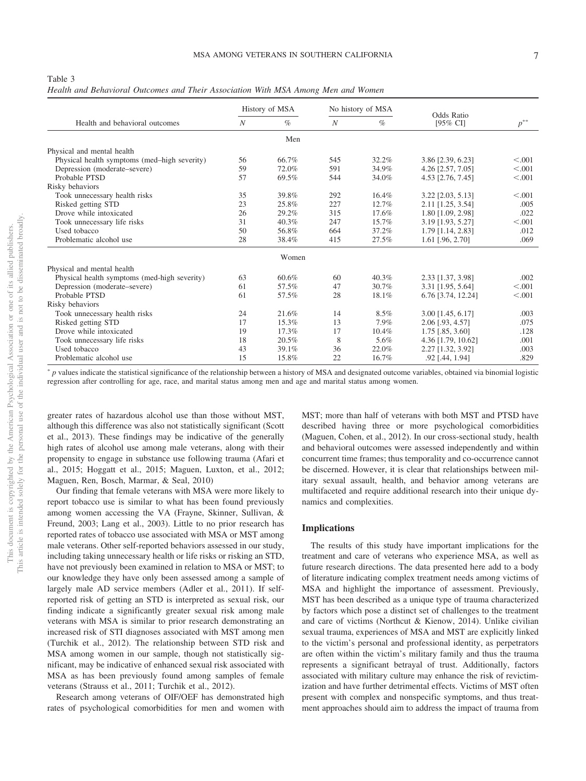Table 3

*Health and Behavioral Outcomes and Their Association With MSA Among Men and Women*

|                                              | History of MSA |       | No history of MSA |       |                                   |          |  |
|----------------------------------------------|----------------|-------|-------------------|-------|-----------------------------------|----------|--|
| Health and behavioral outcomes               | N              | $\%$  | $\boldsymbol{N}$  | $\%$  | Odds Ratio<br>$[95\% \text{ CI}]$ | $p^{**}$ |  |
|                                              |                | Men   |                   |       |                                   |          |  |
| Physical and mental health                   |                |       |                   |       |                                   |          |  |
| Physical health symptoms (med-high severity) | 56             | 66.7% | 545               | 32.2% | 3.86 [2.39, 6.23]                 | < 0.001  |  |
| Depression (moderate–severe)                 | 59             | 72.0% | 591               | 34.9% | 4.26 [2.57, 7.05]                 | < 0.001  |  |
| Probable PTSD                                | 57             | 69.5% | 544               | 34.0% | 4.53 [2.76, 7.45]                 | < 0.001  |  |
| Risky behaviors                              |                |       |                   |       |                                   |          |  |
| Took unnecessary health risks                | 35             | 39.8% | 292               | 16.4% | 3.22 [2.03, 5.13]                 | < 0.001  |  |
| Risked getting STD                           | 23             | 25.8% | 227               | 12.7% | 2.11 [1.25, 3.54]                 | .005     |  |
| Drove while intoxicated                      | 26             | 29.2% | 315               | 17.6% | 1.80 [1.09, 2.98]                 | .022     |  |
| Took unnecessary life risks                  | 31             | 40.3% | 247               | 15.7% | 3.19 [1.93, 5.27]                 | < 0.001  |  |
| Used tobacco                                 | 50             | 56.8% | 664               | 37.2% | 1.79 [1.14, 2.83]                 | .012     |  |
| Problematic alcohol use                      | 28             | 38.4% | 415               | 27.5% | $1.61$ [.96, 2.70]                | .069     |  |
|                                              |                | Women |                   |       |                                   |          |  |
| Physical and mental health                   |                |       |                   |       |                                   |          |  |
| Physical health symptoms (med-high severity) | 63             | 60.6% | 60                | 40.3% | 2.33 [1.37, 3.98]                 | .002     |  |
| Depression (moderate–severe)                 | 61             | 57.5% | 47                | 30.7% | 3.31 [1.95, 5.64]                 | < 0.001  |  |
| Probable PTSD                                | 61             | 57.5% | 28                | 18.1% | 6.76 [3.74, 12.24]                | < 0.001  |  |
| Risky behaviors                              |                |       |                   |       |                                   |          |  |
| Took unnecessary health risks                | 24             | 21.6% | 14                | 8.5%  | 3.00 [1.45, 6.17]                 | .003     |  |
| Risked getting STD                           | 17             | 15.3% | 13                | 7.9%  | 2.06 [.93, 4.57]                  | .075     |  |
| Drove while intoxicated                      | 19             | 17.3% | 17                | 10.4% | $1.75$ [.85, 3.60]                | .128     |  |
| Took unnecessary life risks                  | 18             | 20.5% | 8                 | 5.6%  | 4.36 [1.79, 10.62]                | .001     |  |
| Used tobacco                                 | 43             | 39.1% | 36                | 22.0% | 2.27 [1.32, 3.92]                 | .003     |  |
| Problematic alcohol use                      | 15             | 15.8% | 22                | 16.7% | .92 [.44, 1.94]                   | .829     |  |

- *p* values indicate the statistical significance of the relationship between a history of MSA and designated outcome variables, obtained via binomial logistic regression after controlling for age, race, and marital status among men and age and marital status among women.

greater rates of hazardous alcohol use than those without MST, although this difference was also not statistically significant (Scott et al., 2013). These findings may be indicative of the generally high rates of alcohol use among male veterans, along with their propensity to engage in substance use following trauma (Afari et al., 2015; Hoggatt et al., 2015; Maguen, Luxton, et al., 2012; Maguen, Ren, Bosch, Marmar, & Seal, 2010)

Our finding that female veterans with MSA were more likely to report tobacco use is similar to what has been found previously among women accessing the VA (Frayne, Skinner, Sullivan, & Freund, 2003; Lang et al., 2003). Little to no prior research has reported rates of tobacco use associated with MSA or MST among male veterans. Other self-reported behaviors assessed in our study, including taking unnecessary health or life risks or risking an STD, have not previously been examined in relation to MSA or MST; to our knowledge they have only been assessed among a sample of largely male AD service members (Adler et al., 2011). If selfreported risk of getting an STD is interpreted as sexual risk, our finding indicate a significantly greater sexual risk among male veterans with MSA is similar to prior research demonstrating an increased risk of STI diagnoses associated with MST among men (Turchik et al., 2012). The relationship between STD risk and MSA among women in our sample, though not statistically significant, may be indicative of enhanced sexual risk associated with MSA as has been previously found among samples of female veterans (Strauss et al., 2011; Turchik et al., 2012).

Research among veterans of OIF/OEF has demonstrated high rates of psychological comorbidities for men and women with MST; more than half of veterans with both MST and PTSD have described having three or more psychological comorbidities (Maguen, Cohen, et al., 2012). In our cross-sectional study, health and behavioral outcomes were assessed independently and within concurrent time frames; thus temporality and co-occurrence cannot be discerned. However, it is clear that relationships between military sexual assault, health, and behavior among veterans are multifaceted and require additional research into their unique dynamics and complexities.

## **Implications**

The results of this study have important implications for the treatment and care of veterans who experience MSA, as well as future research directions. The data presented here add to a body of literature indicating complex treatment needs among victims of MSA and highlight the importance of assessment. Previously, MST has been described as a unique type of trauma characterized by factors which pose a distinct set of challenges to the treatment and care of victims (Northcut & Kienow, 2014). Unlike civilian sexual trauma, experiences of MSA and MST are explicitly linked to the victim's personal and professional identity, as perpetrators are often within the victim's military family and thus the trauma represents a significant betrayal of trust. Additionally, factors associated with military culture may enhance the risk of revictimization and have further detrimental effects. Victims of MST often present with complex and nonspecific symptoms, and thus treatment approaches should aim to address the impact of trauma from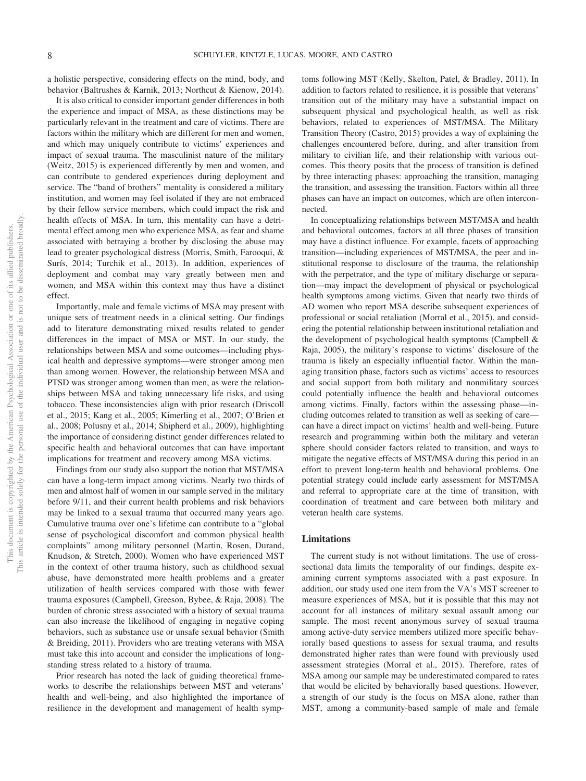a holistic perspective, considering effects on the mind, body, and behavior (Baltrushes & Karnik, 2013; Northcut & Kienow, 2014).

It is also critical to consider important gender differences in both the experience and impact of MSA, as these distinctions may be particularly relevant in the treatment and care of victims. There are factors within the military which are different for men and women, and which may uniquely contribute to victims' experiences and impact of sexual trauma. The masculinist nature of the military (Weitz, 2015) is experienced differently by men and women, and can contribute to gendered experiences during deployment and service. The "band of brothers" mentality is considered a military institution, and women may feel isolated if they are not embraced by their fellow service members, which could impact the risk and health effects of MSA. In turn, this mentality can have a detrimental effect among men who experience MSA, as fear and shame associated with betraying a brother by disclosing the abuse may lead to greater psychological distress (Morris, Smith, Farooqui, & Surís, 2014; Turchik et al., 2013). In addition, experiences of deployment and combat may vary greatly between men and women, and MSA within this context may thus have a distinct effect.

Importantly, male and female victims of MSA may present with unique sets of treatment needs in a clinical setting. Our findings add to literature demonstrating mixed results related to gender differences in the impact of MSA or MST. In our study, the relationships between MSA and some outcomes—including physical health and depressive symptoms—were stronger among men than among women. However, the relationship between MSA and PTSD was stronger among women than men, as were the relationships between MSA and taking unnecessary life risks, and using tobacco. These inconsistencies align with prior research (Driscoll et al., 2015; Kang et al., 2005; Kimerling et al., 2007; O'Brien et al., 2008; Polusny et al., 2014; Shipherd et al., 2009), highlighting the importance of considering distinct gender differences related to specific health and behavioral outcomes that can have important implications for treatment and recovery among MSA victims.

Findings from our study also support the notion that MST/MSA can have a long-term impact among victims. Nearly two thirds of men and almost half of women in our sample served in the military before 9/11, and their current health problems and risk behaviors may be linked to a sexual trauma that occurred many years ago. Cumulative trauma over one's lifetime can contribute to a "global sense of psychological discomfort and common physical health complaints" among military personnel (Martin, Rosen, Durand, Knudson, & Stretch, 2000). Women who have experienced MST in the context of other trauma history, such as childhood sexual abuse, have demonstrated more health problems and a greater utilization of health services compared with those with fewer trauma exposures (Campbell, Greeson, Bybee, & Raja, 2008). The burden of chronic stress associated with a history of sexual trauma can also increase the likelihood of engaging in negative coping behaviors, such as substance use or unsafe sexual behavior (Smith & Breiding, 2011). Providers who are treating veterans with MSA must take this into account and consider the implications of longstanding stress related to a history of trauma.

Prior research has noted the lack of guiding theoretical frameworks to describe the relationships between MST and veterans' health and well-being, and also highlighted the importance of resilience in the development and management of health symptoms following MST (Kelly, Skelton, Patel, & Bradley, 2011). In addition to factors related to resilience, it is possible that veterans' transition out of the military may have a substantial impact on subsequent physical and psychological health, as well as risk behaviors, related to experiences of MST/MSA. The Military Transition Theory (Castro, 2015) provides a way of explaining the challenges encountered before, during, and after transition from military to civilian life, and their relationship with various outcomes. This theory posits that the process of transition is defined by three interacting phases: approaching the transition, managing the transition, and assessing the transition. Factors within all three phases can have an impact on outcomes, which are often interconnected.

In conceptualizing relationships between MST/MSA and health and behavioral outcomes, factors at all three phases of transition may have a distinct influence. For example, facets of approaching transition—including experiences of MST/MSA, the peer and institutional response to disclosure of the trauma, the relationship with the perpetrator, and the type of military discharge or separation—may impact the development of physical or psychological health symptoms among victims. Given that nearly two thirds of AD women who report MSA describe subsequent experiences of professional or social retaliation (Morral et al., 2015), and considering the potential relationship between institutional retaliation and the development of psychological health symptoms (Campbell & Raja, 2005), the military's response to victims' disclosure of the trauma is likely an especially influential factor. Within the managing transition phase, factors such as victims' access to resources and social support from both military and nonmilitary sources could potentially influence the health and behavioral outcomes among victims. Finally, factors within the assessing phase—including outcomes related to transition as well as seeking of care can have a direct impact on victims' health and well-being. Future research and programming within both the military and veteran sphere should consider factors related to transition, and ways to mitigate the negative effects of MST/MSA during this period in an effort to prevent long-term health and behavioral problems. One potential strategy could include early assessment for MST/MSA and referral to appropriate care at the time of transition, with coordination of treatment and care between both military and veteran health care systems.

## **Limitations**

The current study is not without limitations. The use of crosssectional data limits the temporality of our findings, despite examining current symptoms associated with a past exposure. In addition, our study used one item from the VA's MST screener to measure experiences of MSA, but it is possible that this may not account for all instances of military sexual assault among our sample. The most recent anonymous survey of sexual trauma among active-duty service members utilized more specific behaviorally based questions to assess for sexual trauma, and results demonstrated higher rates than were found with previously used assessment strategies (Morral et al., 2015). Therefore, rates of MSA among our sample may be underestimated compared to rates that would be elicited by behaviorally based questions. However, a strength of our study is the focus on MSA alone, rather than MST, among a community-based sample of male and female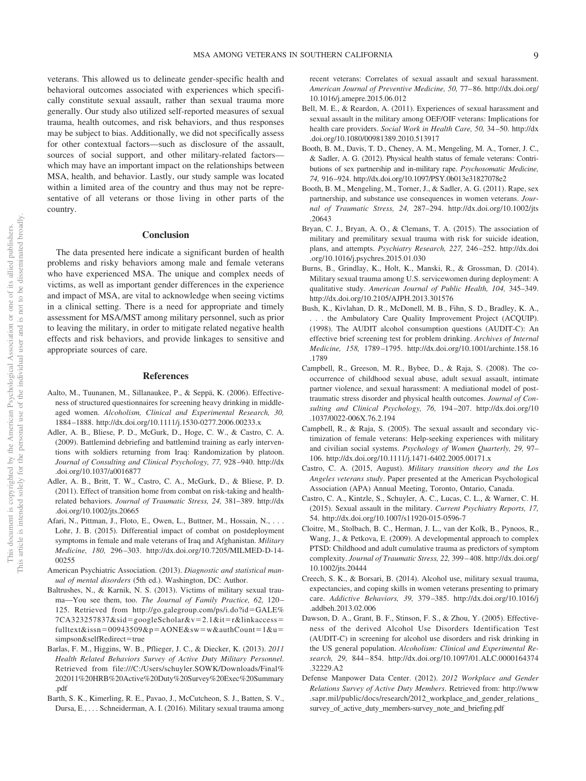veterans. This allowed us to delineate gender-specific health and behavioral outcomes associated with experiences which specifically constitute sexual assault, rather than sexual trauma more generally. Our study also utilized self-reported measures of sexual trauma, health outcomes, and risk behaviors, and thus responses may be subject to bias. Additionally, we did not specifically assess for other contextual factors—such as disclosure of the assault, sources of social support, and other military-related factors which may have an important impact on the relationships between MSA, health, and behavior. Lastly, our study sample was located within a limited area of the country and thus may not be representative of all veterans or those living in other parts of the country.

## **Conclusion**

The data presented here indicate a significant burden of health problems and risky behaviors among male and female veterans who have experienced MSA. The unique and complex needs of victims, as well as important gender differences in the experience and impact of MSA, are vital to acknowledge when seeing victims in a clinical setting. There is a need for appropriate and timely assessment for MSA/MST among military personnel, such as prior to leaving the military, in order to mitigate related negative health effects and risk behaviors, and provide linkages to sensitive and appropriate sources of care.

#### **References**

- Aalto, M., Tuunanen, M., Sillanaukee, P., & Seppä, K. (2006). Effectiveness of structured questionnaires for screening heavy drinking in middleaged women. *Alcoholism, Clinical and Experimental Research, 30,* 1884 –1888. http://dx.doi.org/10.1111/j.1530-0277.2006.00233.x
- Adler, A. B., Bliese, P. D., McGurk, D., Hoge, C. W., & Castro, C. A. (2009). Battlemind debriefing and battlemind training as early interventions with soldiers returning from Iraq: Randomization by platoon. *Journal of Consulting and Clinical Psychology, 77,* 928 –940. http://dx .doi.org/10.1037/a0016877
- Adler, A. B., Britt, T. W., Castro, C. A., McGurk, D., & Bliese, P. D. (2011). Effect of transition home from combat on risk-taking and healthrelated behaviors. *Journal of Traumatic Stress, 24,* 381–389. http://dx .doi.org/10.1002/jts.20665
- Afari, N., Pittman, J., Floto, E., Owen, L., Buttner, M., Hossain, N., ... Lohr, J. B. (2015). Differential impact of combat on postdeployment symptoms in female and male veterans of Iraq and Afghanistan. *Military Medicine, 180,* 296 –303. http://dx.doi.org/10.7205/MILMED-D-14- 00255
- American Psychiatric Association. (2013). *Diagnostic and statistical manual of mental disorders* (5th ed.). Washington, DC: Author.
- Baltrushes, N., & Karnik, N. S. (2013). Victims of military sexual trauma—You see them, too. *The Journal of Family Practice, 62,* 120 – 125. Retrieved from http://go.galegroup.com/ps/i.do?id-GALE% 7CA323257837&sid=googleScholar&v=2.1&it=r&linkaccess= fulltext&issn=00943509&p=AONE&sw=w&authCount=1&u= simpson&selfRedirect=true
- Barlas, F. M., Higgins, W. B., Pflieger, J. C., & Diecker, K. (2013). *2011 Health Related Behaviors Survey of Active Duty Military Personnel*. Retrieved from file:///C:/Users/schuyler.SOWK/Downloads/Final% 202011%20HRB%20Active%20Duty%20Survey%20Exec%20Summary .pdf
- Barth, S. K., Kimerling, R. E., Pavao, J., McCutcheon, S. J., Batten, S. V., Dursa, E.,... Schneiderman, A. I. (2016). Military sexual trauma among

recent veterans: Correlates of sexual assault and sexual harassment. *American Journal of Preventive Medicine, 50,* 77– 86. http://dx.doi.org/ 10.1016/j.amepre.2015.06.012

- Bell, M. E., & Reardon, A. (2011). Experiences of sexual harassment and sexual assault in the military among OEF/OIF veterans: Implications for health care providers. *Social Work in Health Care, 50,* 34 –50. http://dx .doi.org/10.1080/00981389.2010.513917
- Booth, B. M., Davis, T. D., Cheney, A. M., Mengeling, M. A., Torner, J. C., & Sadler, A. G. (2012). Physical health status of female veterans: Contributions of sex partnership and in-military rape. *Psychosomatic Medicine, 74,* 916 –924. http://dx.doi.org/10.1097/PSY.0b013e31827078e2
- Booth, B. M., Mengeling, M., Torner, J., & Sadler, A. G. (2011). Rape, sex partnership, and substance use consequences in women veterans. *Journal of Traumatic Stress, 24,* 287–294. http://dx.doi.org/10.1002/jts .20643
- Bryan, C. J., Bryan, A. O., & Clemans, T. A. (2015). The association of military and premilitary sexual trauma with risk for suicide ideation, plans, and attempts. *Psychiatry Research, 227,* 246 –252. http://dx.doi .org/10.1016/j.psychres.2015.01.030
- Burns, B., Grindlay, K., Holt, K., Manski, R., & Grossman, D. (2014). Military sexual trauma among U.S. servicewomen during deployment: A qualitative study. *American Journal of Public Health, 104,* 345–349. http://dx.doi.org/10.2105/AJPH.2013.301576
- Bush, K., Kivlahan, D. R., McDonell, M. B., Fihn, S. D., Bradley, K. A., . . . the Ambulatory Care Quality Improvement Project (ACQUIP). (1998). The AUDIT alcohol consumption questions (AUDIT-C): An effective brief screening test for problem drinking. *Archives of Internal Medicine, 158,* 1789 –1795. http://dx.doi.org/10.1001/archinte.158.16 .1789
- Campbell, R., Greeson, M. R., Bybee, D., & Raja, S. (2008). The cooccurrence of childhood sexual abuse, adult sexual assault, intimate partner violence, and sexual harassment: A mediational model of posttraumatic stress disorder and physical health outcomes. *Journal of Consulting and Clinical Psychology, 76,* 194 –207. http://dx.doi.org/10 .1037/0022-006X.76.2.194
- Campbell, R., & Raja, S. (2005). The sexual assault and secondary victimization of female veterans: Help-seeking experiences with military and civilian social systems. *Psychology of Women Quarterly, 29,* 97– 106. http://dx.doi.org/10.1111/j.1471-6402.2005.00171.x
- Castro, C. A. (2015, August). *Military transition theory and the Los Angeles veterans study*. Paper presented at the American Psychological Association (APA) Annual Meeting, Toronto, Ontario, Canada.
- Castro, C. A., Kintzle, S., Schuyler, A. C., Lucas, C. L., & Warner, C. H. (2015). Sexual assault in the military. *Current Psychiatry Reports, 17,* 54. http://dx.doi.org/10.1007/s11920-015-0596-7
- Cloitre, M., Stolbach, B. C., Herman, J. L., van der Kolk, B., Pynoos, R., Wang, J., & Petkova, E. (2009). A developmental approach to complex PTSD: Childhood and adult cumulative trauma as predictors of symptom complexity. *Journal of Traumatic Stress, 22,* 399 – 408. http://dx.doi.org/ 10.1002/jts.20444
- Creech, S. K., & Borsari, B. (2014). Alcohol use, military sexual trauma, expectancies, and coping skills in women veterans presenting to primary care. *Addictive Behaviors, 39,* 379 –385. http://dx.doi.org/10.1016/j .addbeh.2013.02.006
- Dawson, D. A., Grant, B. F., Stinson, F. S., & Zhou, Y. (2005). Effectiveness of the derived Alcohol Use Disorders Identification Test (AUDIT-C) in screening for alcohol use disorders and risk drinking in the US general population. *Alcoholism: Clinical and Experimental Research, 29,* 844 – 854. http://dx.doi.org/10.1097/01.ALC.0000164374 .32229.A2
- Defense Manpower Data Center. (2012). *2012 Workplace and Gender Relations Survey of Active Duty Members*. Retrieved from: http://www .sapr.mil/public/docs/research/2012\_workplace\_and\_gender\_relations\_ survey of active duty members-survey note and briefing.pdf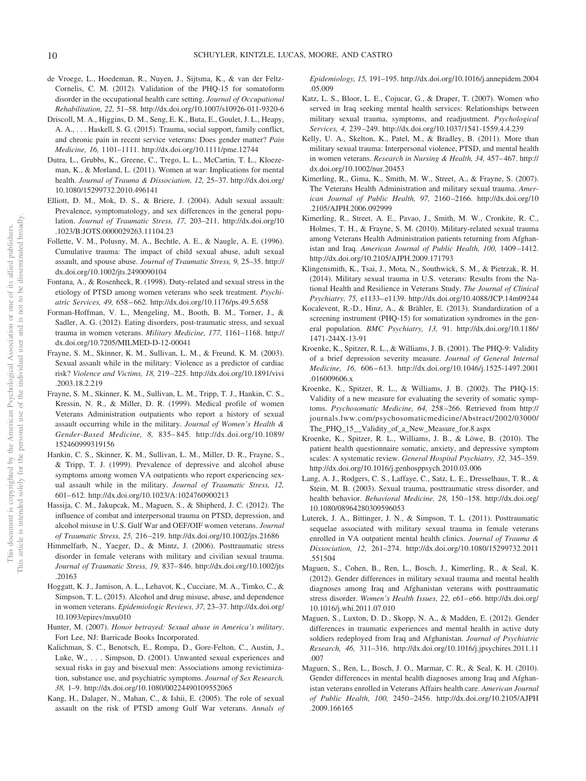- de Vroege, L., Hoedeman, R., Nuyen, J., Sijtsma, K., & van der Feltz-Cornelis, C. M. (2012). Validation of the PHQ-15 for somatoform disorder in the occupational health care setting. *Journal of Occupational Rehabilitation, 22,* 51–58. http://dx.doi.org/10.1007/s10926-011-9320-6
- Driscoll, M. A., Higgins, D. M., Seng, E. K., Buta, E., Goulet, J. L., Heapy, A. A., . . . Haskell, S. G. (2015). Trauma, social support, family conflict, and chronic pain in recent service veterans: Does gender matter? *Pain Medicine, 16,* 1101–1111. http://dx.doi.org/10.1111/pme.12744
- Dutra, L., Grubbs, K., Greene, C., Trego, L. L., McCartin, T. L., Kloezeman, K., & Morland, L. (2011). Women at war: Implications for mental health. *Journal of Trauma & Dissociation, 12,* 25–37. http://dx.doi.org/ 10.1080/15299732.2010.496141
- Elliott, D. M., Mok, D. S., & Briere, J. (2004). Adult sexual assault: Prevalence, symptomatology, and sex differences in the general population. *Journal of Traumatic Stress, 17,* 203–211. http://dx.doi.org/10 .1023/B:JOTS.0000029263.11104.23
- Follette, V. M., Polusny, M. A., Bechtle, A. E., & Naugle, A. E. (1996). Cumulative trauma: The impact of child sexual abuse, adult sexual assault, and spouse abuse. *Journal of Traumatic Stress, 9,* 25–35. http:// dx.doi.org/10.1002/jts.2490090104
- Fontana, A., & Rosenheck, R. (1998). Duty-related and sexual stress in the etiology of PTSD among women veterans who seek treatment. *Psychiatric Services, 49,* 658 – 662. http://dx.doi.org/10.1176/ps.49.5.658
- Forman-Hoffman, V. L., Mengeling, M., Booth, B. M., Torner, J., & Sadler, A. G. (2012). Eating disorders, post-traumatic stress, and sexual trauma in women veterans. *Military Medicine, 177,* 1161–1168. http:// dx.doi.org/10.7205/MILMED-D-12-00041
- Frayne, S. M., Skinner, K. M., Sullivan, L. M., & Freund, K. M. (2003). Sexual assault while in the military: Violence as a predictor of cardiac risk? *Violence and Victims, 18,* 219 –225. http://dx.doi.org/10.1891/vivi .2003.18.2.219
- Frayne, S. M., Skinner, K. M., Sullivan, L. M., Tripp, T. J., Hankin, C. S., Kressin, N. R., & Miller, D. R. (1999). Medical profile of women Veterans Administration outpatients who report a history of sexual assault occurring while in the military. *Journal of Women's Health & Gender-Based Medicine, 8,* 835– 845. http://dx.doi.org/10.1089/ 152460999319156
- Hankin, C. S., Skinner, K. M., Sullivan, L. M., Miller, D. R., Frayne, S., & Tripp, T. J. (1999). Prevalence of depressive and alcohol abuse symptoms among women VA outpatients who report experiencing sexual assault while in the military. *Journal of Traumatic Stress, 12,* 601– 612. http://dx.doi.org/10.1023/A:1024760900213
- Hassija, C. M., Jakupcak, M., Maguen, S., & Shipherd, J. C. (2012). The influence of combat and interpersonal trauma on PTSD, depression, and alcohol misuse in U.S. Gulf War and OEF/OIF women veterans. *Journal of Traumatic Stress, 25,* 216 –219. http://dx.doi.org/10.1002/jts.21686
- Himmelfarb, N., Yaeger, D., & Mintz, J. (2006). Posttraumatic stress disorder in female veterans with military and civilian sexual trauma. *Journal of Traumatic Stress, 19,* 837– 846. http://dx.doi.org/10.1002/jts .20163
- Hoggatt, K. J., Jamison, A. L., Lehavot, K., Cucciare, M. A., Timko, C., & Simpson, T. L. (2015). Alcohol and drug misuse, abuse, and dependence in women veterans. *Epidemiologic Reviews, 37,* 23–37. http://dx.doi.org/ 10.1093/epirev/mxu010
- Hunter, M. (2007). *Honor betrayed: Sexual abuse in America's military*. Fort Lee, NJ: Barricade Books Incorporated.
- Kalichman, S. C., Benotsch, E., Rompa, D., Gore-Felton, C., Austin, J., Luke, W., ... Simpson, D. (2001). Unwanted sexual experiences and sexual risks in gay and bisexual men: Associations among revictimization, substance use, and psychiatric symptoms. *Journal of Sex Research, 38,* 1–9. http://dx.doi.org/10.1080/00224490109552065
- Kang, H., Dalager, N., Mahan, C., & Ishii, E. (2005). The role of sexual assault on the risk of PTSD among Gulf War veterans. *Annals of*

*Epidemiology, 15,* 191–195. http://dx.doi.org/10.1016/j.annepidem.2004 .05.009

- Katz, L. S., Bloor, L. E., Cojucar, G., & Draper, T. (2007). Women who served in Iraq seeking mental health services: Relationships between military sexual trauma, symptoms, and readjustment. *Psychological Services, 4,* 239 –249. http://dx.doi.org/10.1037/1541-1559.4.4.239
- Kelly, U. A., Skelton, K., Patel, M., & Bradley, B. (2011). More than military sexual trauma: Interpersonal violence, PTSD, and mental health in women veterans. *Research in Nursing & Health, 34,* 457– 467. http:// dx.doi.org/10.1002/nur.20453
- Kimerling, R., Gima, K., Smith, M. W., Street, A., & Frayne, S. (2007). The Veterans Health Administration and military sexual trauma. *American Journal of Public Health, 97,* 2160 –2166. http://dx.doi.org/10 .2105/AJPH.2006.092999
- Kimerling, R., Street, A. E., Pavao, J., Smith, M. W., Cronkite, R. C., Holmes, T. H., & Frayne, S. M. (2010). Military-related sexual trauma among Veterans Health Administration patients returning from Afghanistan and Iraq. *American Journal of Public Health, 100,* 1409 –1412. http://dx.doi.org/10.2105/AJPH.2009.171793
- Klingensmith, K., Tsai, J., Mota, N., Southwick, S. M., & Pietrzak, R. H. (2014). Military sexual trauma in U.S. veterans: Results from the National Health and Resilience in Veterans Study. *The Journal of Clinical Psychiatry, 75,* e1133– e1139. http://dx.doi.org/10.4088/JCP.14m09244
- Kocalevent, R.-D., Hinz, A., & Brähler, E. (2013). Standardization of a screening instrument (PHQ-15) for somatization syndromes in the general population. *BMC Psychiatry, 13,* 91. http://dx.doi.org/10.1186/ 1471-244X-13-91
- Kroenke, K., Spitzer, R. L., & Williams, J. B. (2001). The PHQ-9: Validity of a brief depression severity measure. *Journal of General Internal Medicine, 16,* 606 – 613. http://dx.doi.org/10.1046/j.1525-1497.2001 .016009606.x
- Kroenke, K., Spitzer, R. L., & Williams, J. B. (2002). The PHQ-15: Validity of a new measure for evaluating the severity of somatic symptoms. *Psychosomatic Medicine, 64,* 258 –266. Retrieved from http:// journals.lww.com/psychosomaticmedicine/Abstract/2002/03000/ The\_PHQ\_15\_\_Validity\_of\_a\_New\_Measure\_for.8.aspx
- Kroenke, K., Spitzer, R. L., Williams, J. B., & Löwe, B. (2010). The patient health questionnaire somatic, anxiety, and depressive symptom scales: A systematic review. *General Hospital Psychiatry, 32,* 345–359. http://dx.doi.org/10.1016/j.genhosppsych.2010.03.006
- Lang, A. J., Rodgers, C. S., Laffaye, C., Satz, L. E., Dresselhaus, T. R., & Stein, M. B. (2003). Sexual trauma, posttraumatic stress disorder, and health behavior. *Behavioral Medicine, 28,* 150 –158. http://dx.doi.org/ 10.1080/08964280309596053
- Luterek, J. A., Bittinger, J. N., & Simpson, T. L. (2011). Posttraumatic sequelae associated with military sexual trauma in female veterans enrolled in VA outpatient mental health clinics. *Journal of Trauma & Dissociation, 12,* 261–274. http://dx.doi.org/10.1080/15299732.2011 .551504
- Maguen, S., Cohen, B., Ren, L., Bosch, J., Kimerling, R., & Seal, K. (2012). Gender differences in military sexual trauma and mental health diagnoses among Iraq and Afghanistan veterans with posttraumatic stress disorder. *Women's Health Issues, 22,* e61– e66. http://dx.doi.org/ 10.1016/j.whi.2011.07.010
- Maguen, S., Luxton, D. D., Skopp, N. A., & Madden, E. (2012). Gender differences in traumatic experiences and mental health in active duty soldiers redeployed from Iraq and Afghanistan. *Journal of Psychiatric Research, 46,* 311–316. http://dx.doi.org/10.1016/j.jpsychires.2011.11 .007
- Maguen, S., Ren, L., Bosch, J. O., Marmar, C. R., & Seal, K. H. (2010). Gender differences in mental health diagnoses among Iraq and Afghanistan veterans enrolled in Veterans Affairs health care. *American Journal of Public Health, 100,* 2450 –2456. http://dx.doi.org/10.2105/AJPH .2009.166165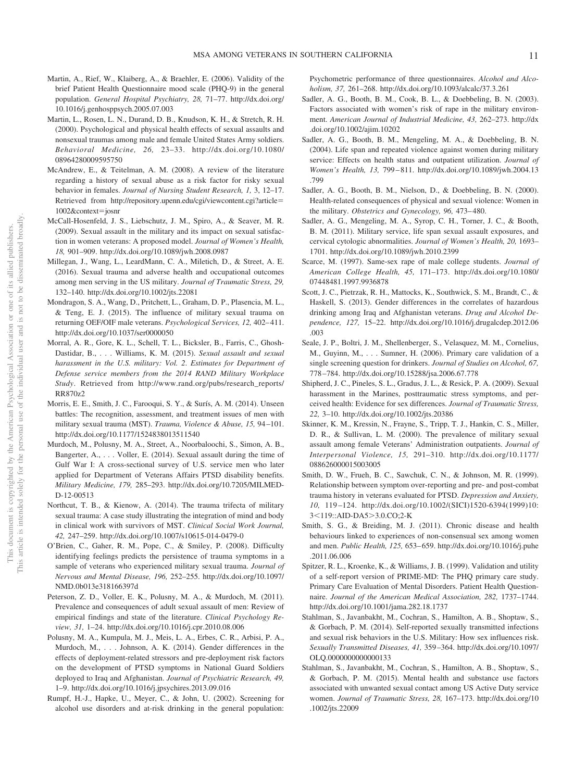- Martin, A., Rief, W., Klaiberg, A., & Braehler, E. (2006). Validity of the brief Patient Health Questionnaire mood scale (PHQ-9) in the general population. *General Hospital Psychiatry, 28,* 71–77. http://dx.doi.org/ 10.1016/j.genhosppsych.2005.07.003
- Martin, L., Rosen, L. N., Durand, D. B., Knudson, K. H., & Stretch, R. H. (2000). Psychological and physical health effects of sexual assaults and nonsexual traumas among male and female United States Army soldiers. *Behavioral Medicine, 26,* 23–33. http://dx.doi.org/10.1080/ 08964280009595750
- McAndrew, E., & Teitelman, A. M. (2008). A review of the literature regarding a history of sexual abuse as a risk factor for risky sexual behavior in females. *Journal of Nursing Student Research, 1,* 3, 12–17. Retrieved from http://repository.upenn.edu/cgi/viewcontent.cgi?article- 1002&context-josnr
- McCall-Hosenfeld, J. S., Liebschutz, J. M., Spiro, A., & Seaver, M. R. (2009). Sexual assault in the military and its impact on sexual satisfaction in women veterans: A proposed model. *Journal of Women's Health, 18,* 901–909. http://dx.doi.org/10.1089/jwh.2008.0987
- Millegan, J., Wang, L., LeardMann, C. A., Miletich, D., & Street, A. E. (2016). Sexual trauma and adverse health and occupational outcomes among men serving in the US military. *Journal of Traumatic Stress, 29,* 132–140. http://dx.doi.org/10.1002/jts.22081
- Mondragon, S. A., Wang, D., Pritchett, L., Graham, D. P., Plasencia, M. L., & Teng, E. J. (2015). The influence of military sexual trauma on returning OEF/OIF male veterans. *Psychological Services, 12, 402–411*. http://dx.doi.org/10.1037/ser0000050
- Morral, A. R., Gore, K. L., Schell, T. L., Bicksler, B., Farris, C., Ghosh-Dastidar, B.,... Williams, K. M. (2015). *Sexual assault and sexual harassment in the U.S. military: Vol. 2*. *Estimates for Department of Defense service members from the 2014 RAND Military Workplace Study*. Retrieved from http://www.rand.org/pubs/research\_reports/ RR870z2
- Morris, E. E., Smith, J. C., Farooqui, S. Y., & Surís, A. M. (2014). Unseen battles: The recognition, assessment, and treatment issues of men with military sexual trauma (MST). *Trauma, Violence & Abuse, 15,* 94 –101. http://dx.doi.org/10.1177/1524838013511540
- Murdoch, M., Polusny, M. A., Street, A., Noorbaloochi, S., Simon, A. B., Bangerter, A., . . . Voller, E. (2014). Sexual assault during the time of Gulf War I: A cross-sectional survey of U.S. service men who later applied for Department of Veterans Affairs PTSD disability benefits. *Military Medicine, 179,* 285–293. http://dx.doi.org/10.7205/MILMED-D-12-00513
- Northcut, T. B., & Kienow, A. (2014). The trauma trifecta of military sexual trauma: A case study illustrating the integration of mind and body in clinical work with survivors of MST. *Clinical Social Work Journal, 42,* 247–259. http://dx.doi.org/10.1007/s10615-014-0479-0
- O'Brien, C., Gaher, R. M., Pope, C., & Smiley, P. (2008). Difficulty identifying feelings predicts the persistence of trauma symptoms in a sample of veterans who experienced military sexual trauma. *Journal of Nervous and Mental Disease, 196,* 252–255. http://dx.doi.org/10.1097/ NMD.0b013e318166397d
- Peterson, Z. D., Voller, E. K., Polusny, M. A., & Murdoch, M. (2011). Prevalence and consequences of adult sexual assault of men: Review of empirical findings and state of the literature. *Clinical Psychology Review, 31,* 1–24. http://dx.doi.org/10.1016/j.cpr.2010.08.006
- Polusny, M. A., Kumpula, M. J., Meis, L. A., Erbes, C. R., Arbisi, P. A., Murdoch, M.,... Johnson, A. K. (2014). Gender differences in the effects of deployment-related stressors and pre-deployment risk factors on the development of PTSD symptoms in National Guard Soldiers deployed to Iraq and Afghanistan. *Journal of Psychiatric Research, 49,* 1–9. http://dx.doi.org/10.1016/j.jpsychires.2013.09.016
- Rumpf, H.-J., Hapke, U., Meyer, C., & John, U. (2002). Screening for alcohol use disorders and at-risk drinking in the general population:

Psychometric performance of three questionnaires. *Alcohol and Alcoholism, 37,* 261–268. http://dx.doi.org/10.1093/alcalc/37.3.261

- Sadler, A. G., Booth, B. M., Cook, B. L., & Doebbeling, B. N. (2003). Factors associated with women's risk of rape in the military environment. *American Journal of Industrial Medicine, 43,* 262–273. http://dx .doi.org/10.1002/ajim.10202
- Sadler, A. G., Booth, B. M., Mengeling, M. A., & Doebbeling, B. N. (2004). Life span and repeated violence against women during military service: Effects on health status and outpatient utilization. *Journal of Women's Health, 13,* 799 – 811. http://dx.doi.org/10.1089/jwh.2004.13 .799
- Sadler, A. G., Booth, B. M., Nielson, D., & Doebbeling, B. N. (2000). Health-related consequences of physical and sexual violence: Women in the military. *Obstetrics and Gynecology, 96,* 473– 480.
- Sadler, A. G., Mengeling, M. A., Syrop, C. H., Torner, J. C., & Booth, B. M. (2011). Military service, life span sexual assault exposures, and cervical cytologic abnormalities. *Journal of Women's Health, 20,* 1693– 1701. http://dx.doi.org/10.1089/jwh.2010.2399
- Scarce, M. (1997). Same-sex rape of male college students. *Journal of American College Health, 45,* 171–173. http://dx.doi.org/10.1080/ 07448481.1997.9936878
- Scott, J. C., Pietrzak, R. H., Mattocks, K., Southwick, S. M., Brandt, C., & Haskell, S. (2013). Gender differences in the correlates of hazardous drinking among Iraq and Afghanistan veterans. *Drug and Alcohol Dependence, 127,* 15–22. http://dx.doi.org/10.1016/j.drugalcdep.2012.06 .003
- Seale, J. P., Boltri, J. M., Shellenberger, S., Velasquez, M. M., Cornelius, M., Guyinn, M.,... Sumner, H. (2006). Primary care validation of a single screening question for drinkers. *Journal of Studies on Alcohol, 67,* 778 –784. http://dx.doi.org/10.15288/jsa.2006.67.778
- Shipherd, J. C., Pineles, S. L., Gradus, J. L., & Resick, P. A. (2009). Sexual harassment in the Marines, posttraumatic stress symptoms, and perceived health: Evidence for sex differences. *Journal of Traumatic Stress, 22,* 3–10. http://dx.doi.org/10.1002/jts.20386
- Skinner, K. M., Kressin, N., Frayne, S., Tripp, T. J., Hankin, C. S., Miller, D. R., & Sullivan, L. M. (2000). The prevalence of military sexual assault among female Veterans' Administration outpatients. *Journal of Interpersonal Violence, 15,* 291–310. http://dx.doi.org/10.1177/ 088626000015003005
- Smith, D. W., Frueh, B. C., Sawchuk, C. N., & Johnson, M. R. (1999). Relationship between symptom over-reporting and pre- and post-combat trauma history in veterans evaluated for PTSD. *Depression and Anxiety, 10,* 119 –124. http://dx.doi.org/10.1002/(SICI)1520-6394(1999)10: 3<119::AID-DA5>3.0.CO;2-K
- Smith, S. G., & Breiding, M. J. (2011). Chronic disease and health behaviours linked to experiences of non-consensual sex among women and men. *Public Health, 125,* 653– 659. http://dx.doi.org/10.1016/j.puhe .2011.06.006
- Spitzer, R. L., Kroenke, K., & Williams, J. B. (1999). Validation and utility of a self-report version of PRIME-MD: The PHQ primary care study. Primary Care Evaluation of Mental Disorders. Patient Health Questionnaire. *Journal of the American Medical Association, 282,* 1737–1744. http://dx.doi.org/10.1001/jama.282.18.1737
- Stahlman, S., Javanbakht, M., Cochran, S., Hamilton, A. B., Shoptaw, S., & Gorbach, P. M. (2014). Self-reported sexually transmitted infections and sexual risk behaviors in the U.S. Military: How sex influences risk. *Sexually Transmitted Diseases, 41,* 359 –364. http://dx.doi.org/10.1097/ OLQ.0000000000000133
- Stahlman, S., Javanbakht, M., Cochran, S., Hamilton, A. B., Shoptaw, S., & Gorbach, P. M. (2015). Mental health and substance use factors associated with unwanted sexual contact among US Active Duty service women. *Journal of Traumatic Stress, 28,* 167–173. http://dx.doi.org/10 .1002/jts.22009